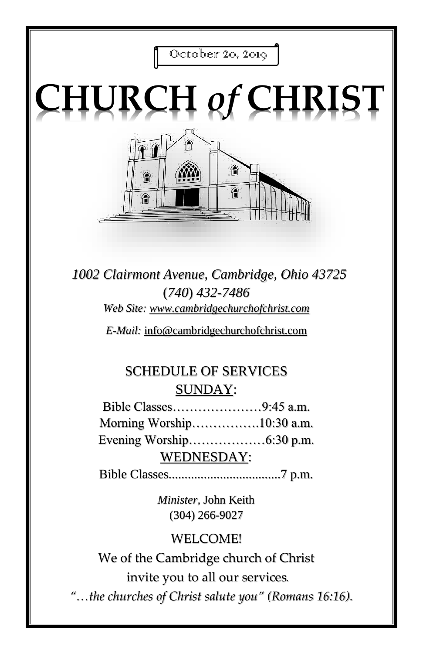

# **CHURCH** *of* **CHRIST**



*1002 Clairmont Avenue, Cambridge, Ohio 43725* (*740*) *432-7486 Web Site: www.cambridgechurchofchrist.com*

*E-Mail:* info@cambridgechurchofchrist.com

# SCHEDULE OF SERVICES SUNDAY:

Bible Classes…………………9:45 a.m. Morning Worship…………….10:30 a.m. Evening Worship………………6:30 p.m. WEDNESDAY:

Bible Classes...................................7 p.m.

*Minister,* John Keith (304) 266-9027

# WELCOME!

We of the Cambridge church of Christ invite you to all our services*.*

*"…the churches of Christ salute you" (Romans 16:16).*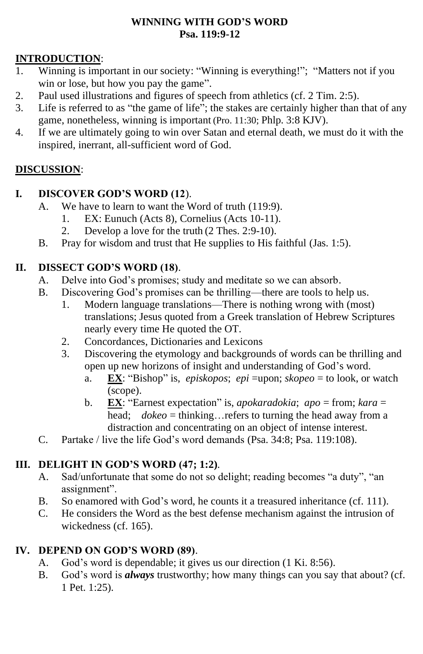#### **WINNING WITH GOD'S WORD Psa. 119:9-12**

#### **INTRODUCTION**:

- 1. Winning is important in our society: "Winning is everything!"; "Matters not if you win or lose, but how you pay the game".
- 2. Paul used illustrations and figures of speech from athletics (cf. 2 Tim. 2:5).
- 3. Life is referred to as "the game of life"; the stakes are certainly higher than that of any game, nonetheless, winning is important (Pro. 11:30; Phlp. 3:8 KJV).
- 4. If we are ultimately going to win over Satan and eternal death, we must do it with the inspired, inerrant, all-sufficient word of God.

#### **DISCUSSION**:

#### **I. DISCOVER GOD'S WORD (12**).

- A. We have to learn to want the Word of truth (119:9).
	- 1. EX: Eunuch (Acts 8), Cornelius (Acts 10-11).
	- 2. Develop a love for the truth (2 Thes. 2:9-10).
- B. Pray for wisdom and trust that He supplies to His faithful (Jas. 1:5).

#### **II. DISSECT GOD'S WORD (18)**.

- A. Delve into God's promises; study and meditate so we can absorb.
- B. Discovering God's promises can be thrilling—there are tools to help us.
	- 1. Modern language translations—There is nothing wrong with (most) translations; Jesus quoted from a Greek translation of Hebrew Scriptures nearly every time He quoted the OT.
	- 2. Concordances, Dictionaries and Lexicons
	- 3. Discovering the etymology and backgrounds of words can be thrilling and open up new horizons of insight and understanding of God's word.
		- a. **EX**: "Bishop" is, *episkopos*; *epi* =upon; *skopeo* = to look, or watch (scope).
		- b. **EX**: "Earnest expectation" is, *apokaradokia*; *apo* = from; *kara* = head; *dokeo* = thinking…refers to turning the head away from a distraction and concentrating on an object of intense interest.
- C. Partake / live the life God's word demands (Psa. 34:8; Psa. 119:108).

#### **III. DELIGHT IN GOD'S WORD (47; 1:2)**.

- A. Sad/unfortunate that some do not so delight; reading becomes "a duty", "an assignment".
- B. So enamored with God's word, he counts it a treasured inheritance (cf. 111).
- C. He considers the Word as the best defense mechanism against the intrusion of wickedness (cf. 165).

#### **IV. DEPEND ON GOD'S WORD (89)**.

- A. God's word is dependable; it gives us our direction (1 Ki. 8:56).
- B. God's word is *always* trustworthy; how many things can you say that about? (cf. 1 Pet. 1:25).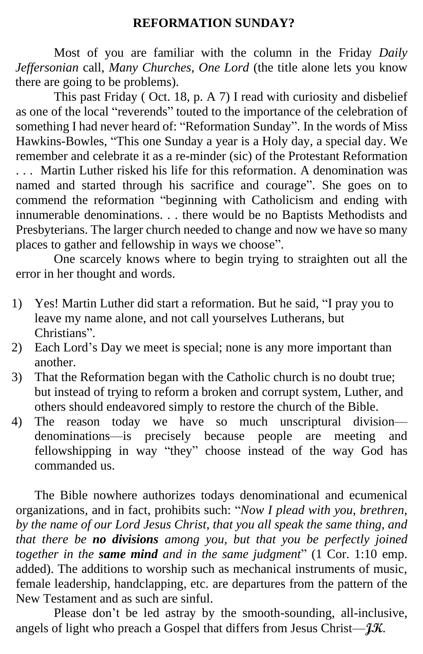#### **REFORMATION SUNDAY?**

Most of you are familiar with the column in the Friday *Daily Jeffersonian* call, *Many Churches, One Lord* (the title alone lets you know there are going to be problems).

This past Friday ( Oct. 18, p. A 7) I read with curiosity and disbelief as one of the local "reverends" touted to the importance of the celebration of something I had never heard of: "Reformation Sunday". In the words of Miss Hawkins-Bowles, "This one Sunday a year is a Holy day, a special day. We remember and celebrate it as a re-minder (sic) of the Protestant Reformation . . . Martin Luther risked his life for this reformation. A denomination was named and started through his sacrifice and courage". She goes on to commend the reformation "beginning with Catholicism and ending with innumerable denominations. . . there would be no Baptists Methodists and Presbyterians. The larger church needed to change and now we have so many places to gather and fellowship in ways we choose".

One scarcely knows where to begin trying to straighten out all the error in her thought and words.

- 1) Yes! Martin Luther did start a reformation. But he said, "I pray you to leave my name alone, and not call yourselves Lutherans, but Christians".
- 2) Each Lord's Day we meet is special; none is any more important than another.
- 3) That the Reformation began with the Catholic church is no doubt true; but instead of trying to reform a broken and corrupt system, Luther, and others should endeavored simply to restore the church of the Bible.
- 4) The reason today we have so much unscriptural division denominations—is precisely because people are meeting and fellowshipping in way "they" choose instead of the way God has commanded us.

The Bible nowhere authorizes todays denominational and ecumenical organizations, and in fact, prohibits such: "*Now I plead with you, brethren, by the name of our Lord Jesus Christ, that you all speak the same thing, and that there be no divisions among you, but that you be perfectly joined together in the same mind and in the same judgment*" (1 Cor. 1:10 emp. added). The additions to worship such as mechanical instruments of music, female leadership, handclapping, etc. are departures from the pattern of the New Testament and as such are sinful.

Please don't be led astray by the smooth-sounding, all-inclusive, angels of light who preach a Gospel that differs from Jesus Christ—**JK**.